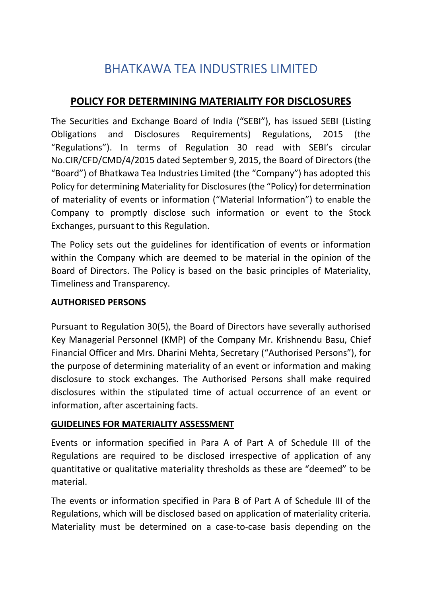# BHATKAWA TEA INDUSTRIES LIMITED

## POLICY FOR DETERMINING MATERIALITY FOR DISCLOSURES

The Securities and Exchange Board of India ("SEBI"), has issued SEBI (Listing Obligations and Disclosures Requirements) Regulations, 2015 (the "Regulations"). In terms of Regulation 30 read with SEBI's circular No.CIR/CFD/CMD/4/2015 dated September 9, 2015, the Board of Directors (the "Board") of Bhatkawa Tea Industries Limited (the "Company") has adopted this Policy for determining Materiality for Disclosures (the "Policy) for determination of materiality of events or information ("Material Information") to enable the Company to promptly disclose such information or event to the Stock Exchanges, pursuant to this Regulation.

The Policy sets out the guidelines for identification of events or information within the Company which are deemed to be material in the opinion of the Board of Directors. The Policy is based on the basic principles of Materiality, Timeliness and Transparency.

### AUTHORISED PERSONS

Pursuant to Regulation 30(5), the Board of Directors have severally authorised Key Managerial Personnel (KMP) of the Company Mr. Krishnendu Basu, Chief Financial Officer and Mrs. Dharini Mehta, Secretary ("Authorised Persons"), for the purpose of determining materiality of an event or information and making disclosure to stock exchanges. The Authorised Persons shall make required disclosures within the stipulated time of actual occurrence of an event or information, after ascertaining facts.

#### GUIDELINES FOR MATERIALITY ASSESSMENT

Events or information specified in Para A of Part A of Schedule III of the Regulations are required to be disclosed irrespective of application of any quantitative or qualitative materiality thresholds as these are "deemed" to be material.

The events or information specified in Para B of Part A of Schedule III of the Regulations, which will be disclosed based on application of materiality criteria. Materiality must be determined on a case-to-case basis depending on the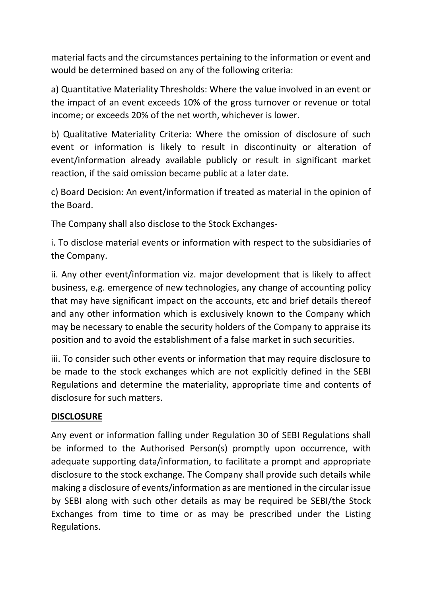material facts and the circumstances pertaining to the information or event and would be determined based on any of the following criteria:

a) Quantitative Materiality Thresholds: Where the value involved in an event or the impact of an event exceeds 10% of the gross turnover or revenue or total income; or exceeds 20% of the net worth, whichever is lower.

b) Qualitative Materiality Criteria: Where the omission of disclosure of such event or information is likely to result in discontinuity or alteration of event/information already available publicly or result in significant market reaction, if the said omission became public at a later date.

c) Board Decision: An event/information if treated as material in the opinion of the Board.

The Company shall also disclose to the Stock Exchanges-

i. To disclose material events or information with respect to the subsidiaries of the Company.

ii. Any other event/information viz. major development that is likely to affect business, e.g. emergence of new technologies, any change of accounting policy that may have significant impact on the accounts, etc and brief details thereof and any other information which is exclusively known to the Company which may be necessary to enable the security holders of the Company to appraise its position and to avoid the establishment of a false market in such securities.

iii. To consider such other events or information that may require disclosure to be made to the stock exchanges which are not explicitly defined in the SEBI Regulations and determine the materiality, appropriate time and contents of disclosure for such matters.

#### **DISCLOSURE**

Any event or information falling under Regulation 30 of SEBI Regulations shall be informed to the Authorised Person(s) promptly upon occurrence, with adequate supporting data/information, to facilitate a prompt and appropriate disclosure to the stock exchange. The Company shall provide such details while making a disclosure of events/information as are mentioned in the circular issue by SEBI along with such other details as may be required be SEBI/the Stock Exchanges from time to time or as may be prescribed under the Listing Regulations.